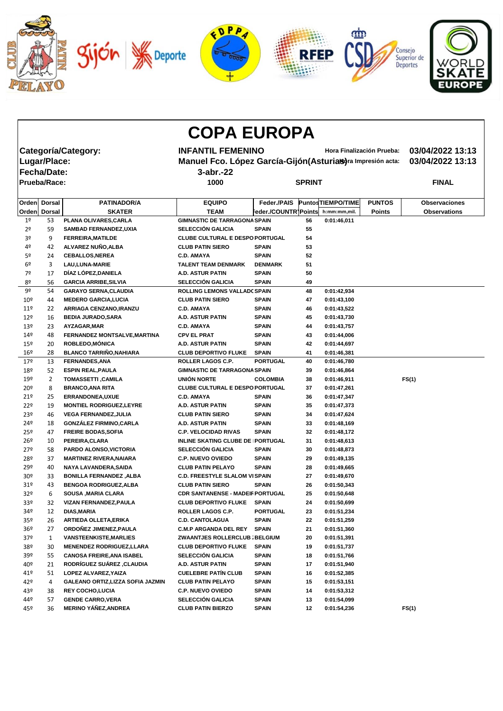

|                 |                     |                                          | <b>COPA EUROPA</b>                                           |                           |    |                    |                  |                      |
|-----------------|---------------------|------------------------------------------|--------------------------------------------------------------|---------------------------|----|--------------------|------------------|----------------------|
|                 |                     | <b>Categoría/Category:</b>               | <b>INFANTIL FEMENINO</b>                                     | Hora Finalización Prueba: |    |                    | 03/04/2022 13:13 |                      |
|                 | Lugar/Place:        |                                          | Manuel Fco. López García-Gijón (Asturias) ra Impresión acta: |                           |    |                    | 03/04/2022 13:13 |                      |
|                 |                     |                                          |                                                              |                           |    |                    |                  |                      |
|                 | Fecha/Date:         |                                          | 3-abr.-22                                                    |                           |    |                    |                  |                      |
|                 | <b>Prueba/Race:</b> |                                          | 1000                                                         | <b>SPRINT</b>             |    |                    |                  | <b>FINAL</b>         |
| Orden           | <b>Dorsal</b>       | <b>PATINADOR/A</b>                       | <b>EQUIPO</b>                                                | Feder./PAIS               |    | Puntos TIEMPO/TIME | <b>PUNTOS</b>    | <b>Observaciones</b> |
|                 | Orden Dorsal        | <b>SKATER</b>                            | <b>TEAM</b>                                                  | Feder./COUNTR]Points      |    | h:mm:mm,mil.       | <b>Points</b>    | <b>Observations</b>  |
| 1 <sup>°</sup>  | 53                  | PLANA OLIVARES, CARLA                    | <b>GIMNASTIC DE TARRAGONA SPAIN</b>                          |                           | 56 | 0:01:46,011        |                  |                      |
| 2 <sup>o</sup>  | 59                  | <b>SAMBAD FERNANDEZ, UXIA</b>            | <b>SELECCIÓN GALICIA</b>                                     | <b>SPAIN</b>              | 55 |                    |                  |                      |
| 3º              | 9                   | <b>FERREIRA, MATILDE</b>                 | <b>CLUBE CULTURAL E DESPO PORTUGAL</b>                       |                           | 54 |                    |                  |                      |
| 4º              | 42                  | ALVAREZ NUÑO, ALBA                       | <b>CLUB PATIN SIERO</b>                                      | <b>SPAIN</b>              | 53 |                    |                  |                      |
| 5º              | 24                  | <b>CEBALLOS, NEREA</b>                   | <b>C.D. AMAYA</b>                                            | <b>SPAIN</b>              | 52 |                    |                  |                      |
| 6º              | 3                   | LAU, LUNA-MARIE                          | <b>TALENT TEAM DENMARK</b>                                   | <b>DENMARK</b>            | 51 |                    |                  |                      |
| 7º              | 17                  | DÍAZ LÓPEZ, DANIELA                      | <b>A.D. ASTUR PATIN</b>                                      | <b>SPAIN</b>              | 50 |                    |                  |                      |
| 8º              | 56                  | <b>GARCIA ARRIBE, SILVIA</b>             | <b>SELECCIÓN GALICIA</b>                                     | <b>SPAIN</b>              | 49 |                    |                  |                      |
| 9º              | 54                  | <b>GARAYO SERNA, CLAUDIA</b>             | ROLLING LEMONS VALLAD( SPAIN                                 |                           | 48 | 0:01:42,934        |                  |                      |
| 10 <sup>°</sup> | 44                  | <b>MEDERO GARCIA, LUCIA</b>              | <b>CLUB PATIN SIERO</b>                                      | <b>SPAIN</b>              | 47 | 0:01:43,100        |                  |                      |
| 11 <sup>°</sup> | 22                  | ARRIAGA CENZANO, IRANZU                  | <b>C.D. AMAYA</b>                                            | <b>SPAIN</b>              | 46 | 0:01:43,522        |                  |                      |
| $12^{\circ}$    | 16                  | <b>BEDIA JURADO, SARA</b>                | <b>A.D. ASTUR PATIN</b>                                      | <b>SPAIN</b>              | 45 | 0:01:43,730        |                  |                      |
| 13 <sup>°</sup> | 23                  | AYZAGAR, MAR                             | <b>C.D. AMAYA</b>                                            | <b>SPAIN</b>              | 44 | 0:01:43,757        |                  |                      |
| 149             | 48                  | FERNANDEZ MONTSALVE, MARTINA             | <b>CPV EL PRAT</b>                                           | <b>SPAIN</b>              | 43 | 0:01:44,006        |                  |                      |
| $15^{\circ}$    | 20                  | ROBLEDO, MÓNICA                          | <b>A.D. ASTUR PATIN</b>                                      | <b>SPAIN</b>              | 42 | 0:01:44,697        |                  |                      |
| 16 <sup>°</sup> | 28                  | <b>BLANCO TARRIÑO, NAHIARA</b>           | <b>CLUB DEPORTIVO FLUKE</b>                                  | <b>SPAIN</b>              | 41 | 0:01:46,381        |                  |                      |
| 179             | 13                  | <b>FERNANDES, ANA</b>                    | <b>ROLLER LAGOS C.P.</b>                                     | <b>PORTUGAL</b>           | 40 | 0:01:46,780        |                  |                      |
| 18º             | 52                  | <b>ESPIN REAL, PAULA</b>                 | <b>GIMNASTIC DE TARRAGONA SPAIN</b>                          |                           | 39 | 0:01:46,864        |                  |                      |
| 19º             | $\overline{2}$      | <b>TOMASSETTI, CAMILA</b>                | UNIÓN NORTE                                                  | <b>COLOMBIA</b>           | 38 | 0:01:46,911        |                  | FS(1)                |
| 20º             | 8                   | <b>BRANCO, ANA RITA</b>                  | CLUBE CULTURAL E DESPO PORTUGAL                              |                           | 37 | 0:01:47,261        |                  |                      |
| 21°             | 25                  | <b>ERRANDONEA, UXUE</b>                  | <b>C.D. AMAYA</b>                                            | <b>SPAIN</b>              | 36 | 0:01:47,347        |                  |                      |
| 22 <sup>°</sup> | 19                  | <b>MONTIEL RODRIGUEZ, LEYRE</b>          | A.D. ASTUR PATIN                                             | <b>SPAIN</b>              | 35 | 0:01:47,373        |                  |                      |
| 23º             | 46                  | <b>VEGA FERNANDEZ, JULIA</b>             | <b>CLUB PATIN SIERO</b>                                      | <b>SPAIN</b>              | 34 | 0:01:47,624        |                  |                      |
| 24º             | 18                  | <b>GONZÁLEZ FIRMINO, CARLA</b>           | A.D. ASTUR PATIN                                             | <b>SPAIN</b>              | 33 | 0:01:48,169        |                  |                      |
| 25º             | 47                  | <b>FREIRE BODAS, SOFIA</b>               | <b>C.P. VELOCIDAD RIVAS</b>                                  | <b>SPAIN</b>              | 32 | 0:01:48,172        |                  |                      |
| $26^{\circ}$    | 10                  | PEREIRA, CLARA                           | <b>INLINE SKATING CLUBE DE PORTUGAL</b>                      |                           | 31 | 0:01:48,613        |                  |                      |
| 27 <sup>°</sup> | 58                  | PARDO ALONSO, VICTORIA                   | <b>SELECCIÓN GALICIA</b>                                     | <b>SPAIN</b>              | 30 | 0:01:48,873        |                  |                      |
| 28º             | 37                  | <b>MARTINEZ RIVERA, NAIARA</b>           | <b>C.P. NUEVO OVIEDO</b>                                     | <b>SPAIN</b>              | 29 | 0:01:49,135        |                  |                      |
| 29º             | 40                  | NAYA LAVANDERA, SAIDA                    | <b>CLUB PATIN PELAYO</b>                                     | <b>SPAIN</b>              | 28 | 0:01:49,665        |                  |                      |
| 30 <sup>°</sup> | 33                  | <b>BONILLA FERNANDEZ, ALBA</b>           | <b>C.D. FREESTYLE SLALOM VISPAIN</b>                         |                           | 27 | 0:01:49,670        |                  |                      |
| 31 <sup>o</sup> | 43                  | <b>BENGOA RODRIGUEZ, ALBA</b>            | <b>CLUB PATIN SIERO</b>                                      | <b>SPAIN</b>              | 26 | 0:01:50,343        |                  |                      |
| 32 <sup>o</sup> | 6                   | <b>SOUSA , MARIA CLARA</b>               | <b>CDR SANTANENSE - MADEIF PORTUGAL</b>                      |                           | 25 | 0:01:50,648        |                  |                      |
| 33 <sup>o</sup> | 32                  | <b>VIZAN FERNANDEZ, PAULA</b>            | <b>CLUB DEPORTIVO FLUKE</b>                                  | <b>SPAIN</b>              | 24 | 0:01:50,699        |                  |                      |
| 34º             | 12                  | <b>DIAS, MARIA</b>                       | ROLLER LAGOS C.P.                                            | <b>PORTUGAL</b>           | 23 | 0:01:51,234        |                  |                      |
| 35 <sup>°</sup> | 26                  | <b>ARTIEDA OLLETA, ERIKA</b>             | <b>C.D. CANTOLAGUA</b>                                       | <b>SPAIN</b>              | 22 | 0:01:51,259        |                  |                      |
| 36 <sup>°</sup> | 27                  | ORDOÑEZ JIMENEZ, PAULA                   | <b>C.M.P ARGANDA DEL REY</b>                                 | SPAIN                     | 21 | 0:01:51,360        |                  |                      |
| 37 <sup>°</sup> | 1                   | <b>VANSTEENKISTE, MARLIES</b>            | <b>ZWAANTJES ROLLERCLUB : BELGIUM</b>                        |                           | 20 | 0:01:51,391        |                  |                      |
| 38º             | 30                  | <b>MENENDEZ RODRIGUEZ, LLARA</b>         | <b>CLUB DEPORTIVO FLUKE</b>                                  | <b>SPAIN</b>              | 19 | 0:01:51,737        |                  |                      |
| 39º             | 55                  | <b>CANOSA FREIRE, ANA ISABEL</b>         | <b>SELECCIÓN GALICIA</b>                                     | <b>SPAIN</b>              | 18 | 0:01:51,766        |                  |                      |
| 40º             | 21                  | <b>RODRÍGUEZ SUÁREZ , CLAUDIA</b>        | <b>A.D. ASTUR PATIN</b>                                      | <b>SPAIN</b>              | 17 | 0:01:51,940        |                  |                      |
| 41º             | 51                  | LOPEZ ALVAREZ, YAIZA                     | <b>CUELEBRE PATÍN CLUB</b>                                   | <b>SPAIN</b>              | 16 | 0:01:52,385        |                  |                      |
| 42°             | 4                   | <b>GALEANO ORTIZ, LIZZA SOFIA JAZMIN</b> | <b>CLUB PATIN PELAYO</b>                                     | <b>SPAIN</b>              | 15 | 0:01:53,151        |                  |                      |
| 43º             | 38                  | <b>REY COCHO, LUCIA</b>                  | <b>C.P. NUEVO OVIEDO</b>                                     | <b>SPAIN</b>              | 14 | 0:01:53,312        |                  |                      |
| 44º             | 57                  | <b>GENDE CARRO, VERA</b>                 | <b>SELECCIÓN GALICIA</b>                                     | <b>SPAIN</b>              | 13 | 0:01:54,099        |                  |                      |
| 45º             | 36                  | <b>MERINO YÁÑEZ, ANDREA</b>              | <b>CLUB PATIN BIERZO</b>                                     | <b>SPAIN</b>              | 12 | 0:01:54,236        |                  | FS(1)                |